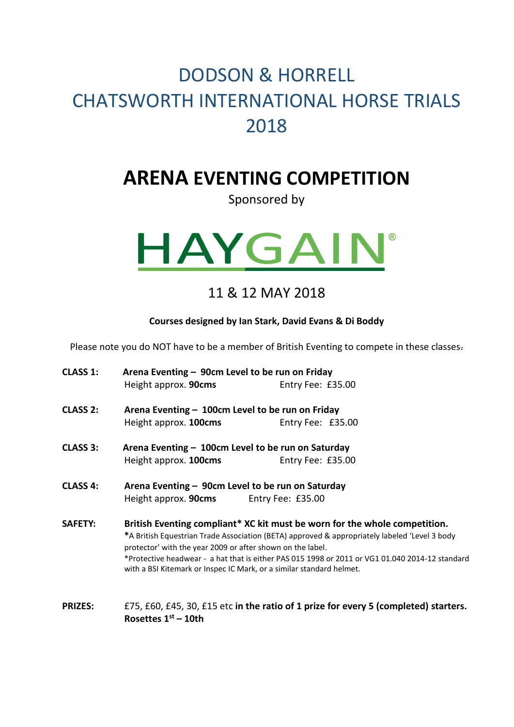# DODSON & HORRELL CHATSWORTH INTERNATIONAL HORSE TRIALS 2018

## **ARENA EVENTING COMPETITION**

Sponsored by



### 11 & 12 MAY 2018

#### **Courses designed by Ian Stark, David Evans & Di Boddy**

Please note you do NOT have to be a member of British Eventing to compete in these classes-

| <b>CLASS 1:</b> | Arena Eventing - 90cm Level to be run on Friday                                                                                                                         |                   |  |
|-----------------|-------------------------------------------------------------------------------------------------------------------------------------------------------------------------|-------------------|--|
|                 | Height approx. 90cms                                                                                                                                                    | Entry Fee: £35.00 |  |
| <b>CLASS 2:</b> | Arena Eventing - 100cm Level to be run on Friday                                                                                                                        |                   |  |
|                 | Height approx. 100cms                                                                                                                                                   | Entry Fee: £35.00 |  |
| <b>CLASS 3:</b> | Arena Eventing - 100cm Level to be run on Saturday                                                                                                                      |                   |  |
|                 | Height approx. 100cms                                                                                                                                                   | Entry Fee: £35.00 |  |
| <b>CLASS 4:</b> | Arena Eventing - 90cm Level to be run on Saturday                                                                                                                       |                   |  |
|                 | Height approx. <b>90cms</b>                                                                                                                                             | Entry Fee: £35.00 |  |
| <b>SAFETY:</b>  | British Eventing compliant* XC kit must be worn for the whole competition.                                                                                              |                   |  |
|                 | *A British Equestrian Trade Association (BETA) approved & appropriately labeled 'Level 3 body<br>protector' with the year 2009 or after shown on the label.             |                   |  |
|                 | *Protective headwear - a hat that is either PAS 015 1998 or 2011 or VG1 01.040 2014-12 standard<br>with a BSI Kitemark or Inspec IC Mark, or a similar standard helmet. |                   |  |
|                 |                                                                                                                                                                         |                   |  |
|                 |                                                                                                                                                                         |                   |  |

**PRIZES:** £75, £60, £45, 30, £15 etc **in the ratio of 1 prize for every 5 (completed) starters. Rosettes 1st – 10th**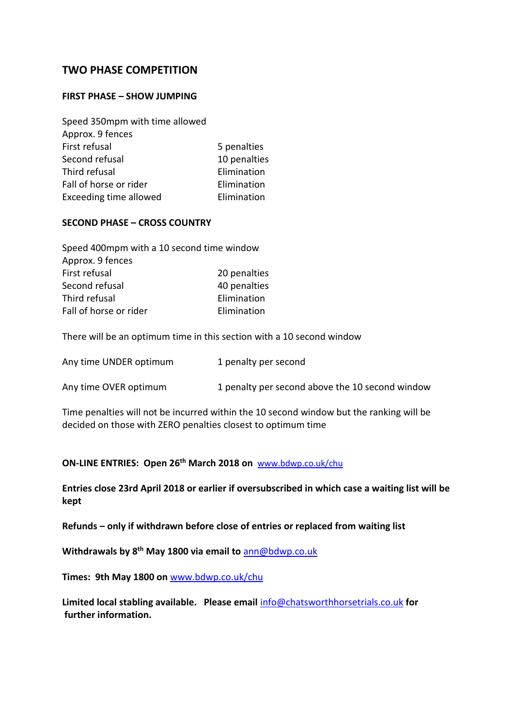#### **TWO PHASE COMPETITION**

#### **FIRST PHASE – SHOW JUMPING**

| Speed 350mpm with time allowed |              |
|--------------------------------|--------------|
| Approx. 9 fences               |              |
| First refusal                  | 5 penalties  |
| Second refusal                 | 10 penalties |
| Third refusal                  | Elimination  |
| Fall of horse or rider         | Elimination  |
| <b>Exceeding time allowed</b>  | Elimination  |

#### **SECOND PHASE – CROSS COUNTRY**

| Speed 400mpm with a 10 second time window |              |
|-------------------------------------------|--------------|
| Approx. 9 fences                          |              |
| First refusal                             | 20 penalties |
| Second refusal                            | 40 penalties |
| Third refusal                             | Elimination  |
| Fall of horse or rider                    | Elimination  |

There will be an optimum time in this section with a 10 second window

| Any time UNDER optimum | 1 penalty per second |
|------------------------|----------------------|
|                        |                      |

Any time OVER optimum 1 penalty per second above the 10 second window

Time penalties will not be incurred within the 10 second window but the ranking will be decided on those with ZERO penalties closest to optimum time

**ON-LINE ENTRIES: Open 26th March 2018 on** [www.bdwp.co.uk/chu](http://www.bdwp.co.uk/chu)

**Entries close 23rd April 2018 or earlier if oversubscribed in which case a waiting list will be kept**

**Refunds – only if withdrawn before close of entries or replaced from waiting list**

**Withdrawals by 8 th May 1800 via email to** [ann@bdwp.co.uk](mailto:ann@bdwp.co.uk)

**Times: 9th May 1800 on** [www.bdwp.co.uk/](http://www.bdwp.co.uk/)chu

**Limited local stabling available. Please email** [info@chatsworthhorsetrials.co.uk](mailto:info@chatsworthhorsetrials.co.uk) **for further information.**